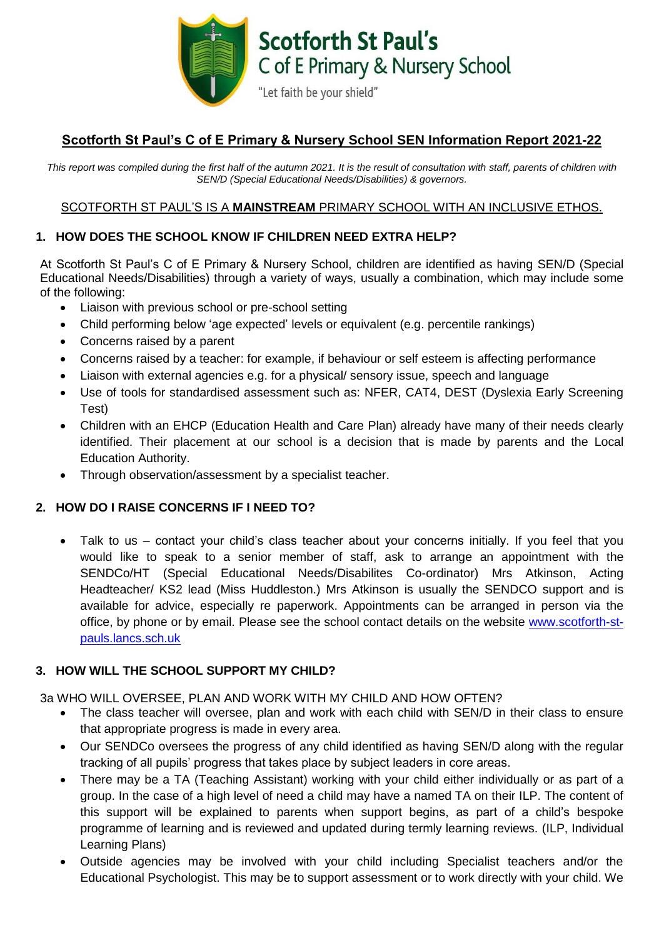

# **Scotforth St Paul's C of E Primary & Nursery School SEN Information Report 2021-22**

*This report was compiled during the first half of the autumn 2021. It is the result of consultation with staff, parents of children with SEN/D (Special Educational Needs/Disabilities) & governors.*

#### SCOTFORTH ST PAUL'S IS A **MAINSTREAM** PRIMARY SCHOOL WITH AN INCLUSIVE ETHOS.

### **1. HOW DOES THE SCHOOL KNOW IF CHILDREN NEED EXTRA HELP?**

At Scotforth St Paul's C of E Primary & Nursery School, children are identified as having SEN/D (Special Educational Needs/Disabilities) through a variety of ways, usually a combination, which may include some of the following:

- Liaison with previous school or pre-school setting
- Child performing below 'age expected' levels or equivalent (e.g. percentile rankings)
- Concerns raised by a parent
- Concerns raised by a teacher: for example, if behaviour or self esteem is affecting performance
- Liaison with external agencies e.g. for a physical/ sensory issue, speech and language
- Use of tools for standardised assessment such as: NFER, CAT4, DEST (Dyslexia Early Screening Test)
- Children with an EHCP (Education Health and Care Plan) already have many of their needs clearly identified. Their placement at our school is a decision that is made by parents and the Local Education Authority.
- Through observation/assessment by a specialist teacher.

#### **2. HOW DO I RAISE CONCERNS IF I NEED TO?**

 Talk to us – contact your child's class teacher about your concerns initially. If you feel that you would like to speak to a senior member of staff, ask to arrange an appointment with the SENDCo/HT (Special Educational Needs/Disabilites Co-ordinator) Mrs Atkinson, Acting Headteacher/ KS2 lead (Miss Huddleston.) Mrs Atkinson is usually the SENDCO support and is available for advice, especially re paperwork. Appointments can be arranged in person via the office, by phone or by email. Please see the school contact details on the website [www.scotforth-st](http://www.scotforth-st-pauls.lancs.sch.uk/)[pauls.lancs.sch.uk](http://www.scotforth-st-pauls.lancs.sch.uk/)

### **3. HOW WILL THE SCHOOL SUPPORT MY CHILD?**

3a WHO WILL OVERSEE, PLAN AND WORK WITH MY CHILD AND HOW OFTEN?

- The class teacher will oversee, plan and work with each child with SEN/D in their class to ensure that appropriate progress is made in every area.
- Our SENDCo oversees the progress of any child identified as having SEN/D along with the regular tracking of all pupils' progress that takes place by subject leaders in core areas.
- There may be a TA (Teaching Assistant) working with your child either individually or as part of a group. In the case of a high level of need a child may have a named TA on their ILP. The content of this support will be explained to parents when support begins, as part of a child's bespoke programme of learning and is reviewed and updated during termly learning reviews. (ILP, Individual Learning Plans)
- Outside agencies may be involved with your child including Specialist teachers and/or the Educational Psychologist. This may be to support assessment or to work directly with your child. We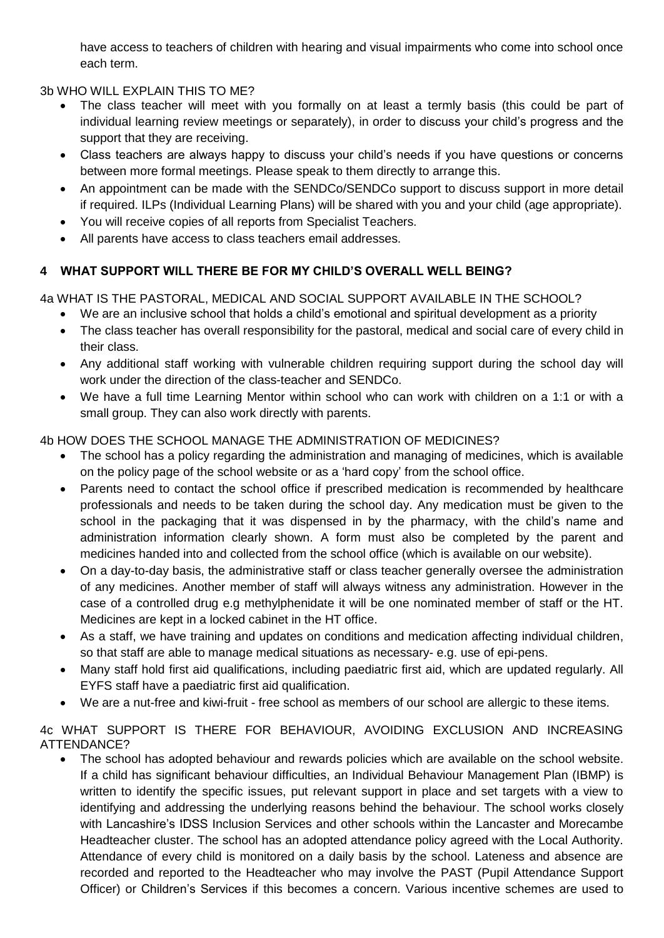have access to teachers of children with hearing and visual impairments who come into school once each term.

## 3b WHO WILL EXPLAIN THIS TO ME?

- The class teacher will meet with you formally on at least a termly basis (this could be part of individual learning review meetings or separately), in order to discuss your child's progress and the support that they are receiving.
- Class teachers are always happy to discuss your child's needs if you have questions or concerns between more formal meetings. Please speak to them directly to arrange this.
- An appointment can be made with the SENDCo/SENDCo support to discuss support in more detail if required. ILPs (Individual Learning Plans) will be shared with you and your child (age appropriate).
- You will receive copies of all reports from Specialist Teachers.
- All parents have access to class teachers email addresses.

# **4 WHAT SUPPORT WILL THERE BE FOR MY CHILD'S OVERALL WELL BEING?**

4a WHAT IS THE PASTORAL, MEDICAL AND SOCIAL SUPPORT AVAILABLE IN THE SCHOOL?

- We are an inclusive school that holds a child's emotional and spiritual development as a priority
- The class teacher has overall responsibility for the pastoral, medical and social care of every child in their class.
- Any additional staff working with vulnerable children requiring support during the school day will work under the direction of the class-teacher and SENDCo.
- We have a full time Learning Mentor within school who can work with children on a 1:1 or with a small group. They can also work directly with parents.

## 4b HOW DOES THE SCHOOL MANAGE THE ADMINISTRATION OF MEDICINES?

- The school has a policy regarding the administration and managing of medicines, which is available on the policy page of the school website or as a 'hard copy' from the school office.
- Parents need to contact the school office if prescribed medication is recommended by healthcare professionals and needs to be taken during the school day. Any medication must be given to the school in the packaging that it was dispensed in by the pharmacy, with the child's name and administration information clearly shown. A form must also be completed by the parent and medicines handed into and collected from the school office (which is available on our website).
- On a day-to-day basis, the administrative staff or class teacher generally oversee the administration of any medicines. Another member of staff will always witness any administration. However in the case of a controlled drug e.g methylphenidate it will be one nominated member of staff or the HT. Medicines are kept in a locked cabinet in the HT office.
- As a staff, we have training and updates on conditions and medication affecting individual children, so that staff are able to manage medical situations as necessary- e.g. use of epi-pens.
- Many staff hold first aid qualifications, including paediatric first aid, which are updated regularly. All EYFS staff have a paediatric first aid qualification.
- We are a nut-free and kiwi-fruit free school as members of our school are allergic to these items.

4c WHAT SUPPORT IS THERE FOR BEHAVIOUR, AVOIDING EXCLUSION AND INCREASING ATTENDANCE?

 The school has adopted behaviour and rewards policies which are available on the school website. If a child has significant behaviour difficulties, an Individual Behaviour Management Plan (IBMP) is written to identify the specific issues, put relevant support in place and set targets with a view to identifying and addressing the underlying reasons behind the behaviour. The school works closely with Lancashire's IDSS Inclusion Services and other schools within the Lancaster and Morecambe Headteacher cluster. The school has an adopted attendance policy agreed with the Local Authority. Attendance of every child is monitored on a daily basis by the school. Lateness and absence are recorded and reported to the Headteacher who may involve the PAST (Pupil Attendance Support Officer) or Children's Services if this becomes a concern. Various incentive schemes are used to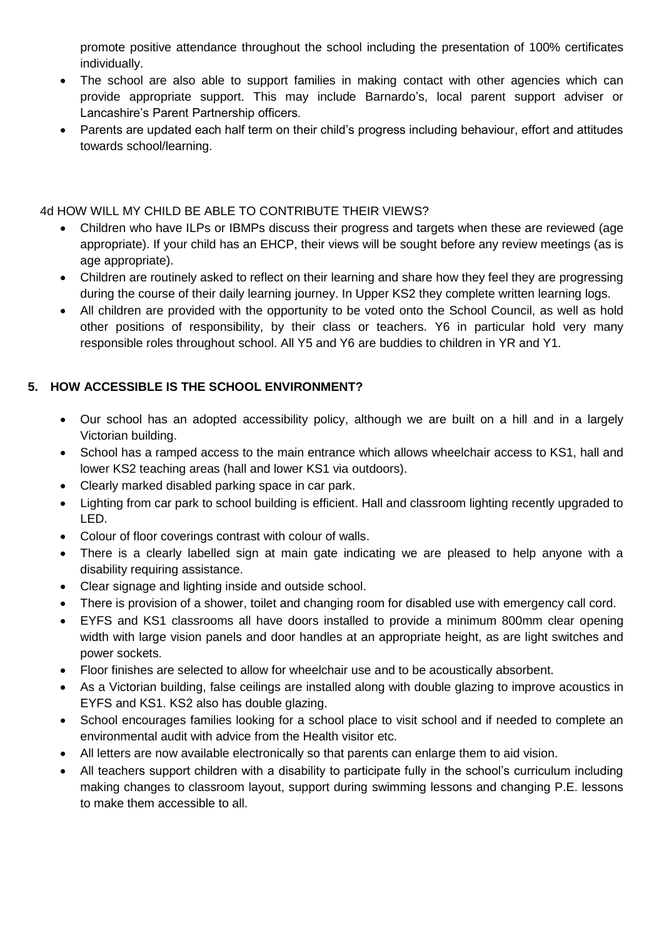promote positive attendance throughout the school including the presentation of 100% certificates individually.

- The school are also able to support families in making contact with other agencies which can provide appropriate support. This may include Barnardo's, local parent support adviser or Lancashire's Parent Partnership officers.
- Parents are updated each half term on their child's progress including behaviour, effort and attitudes towards school/learning.

4d HOW WILL MY CHILD BE ABLE TO CONTRIBUTE THEIR VIEWS?

- Children who have ILPs or IBMPs discuss their progress and targets when these are reviewed (age appropriate). If your child has an EHCP, their views will be sought before any review meetings (as is age appropriate).
- Children are routinely asked to reflect on their learning and share how they feel they are progressing during the course of their daily learning journey. In Upper KS2 they complete written learning logs.
- All children are provided with the opportunity to be voted onto the School Council, as well as hold other positions of responsibility, by their class or teachers. Y6 in particular hold very many responsible roles throughout school. All Y5 and Y6 are buddies to children in YR and Y1.

## **5. HOW ACCESSIBLE IS THE SCHOOL ENVIRONMENT?**

- Our school has an adopted accessibility policy, although we are built on a hill and in a largely Victorian building.
- School has a ramped access to the main entrance which allows wheelchair access to KS1, hall and lower KS2 teaching areas (hall and lower KS1 via outdoors).
- Clearly marked disabled parking space in car park.
- Lighting from car park to school building is efficient. Hall and classroom lighting recently upgraded to LED.
- Colour of floor coverings contrast with colour of walls.
- There is a clearly labelled sign at main gate indicating we are pleased to help anyone with a disability requiring assistance.
- Clear signage and lighting inside and outside school.
- There is provision of a shower, toilet and changing room for disabled use with emergency call cord.
- EYFS and KS1 classrooms all have doors installed to provide a minimum 800mm clear opening width with large vision panels and door handles at an appropriate height, as are light switches and power sockets.
- Floor finishes are selected to allow for wheelchair use and to be acoustically absorbent.
- As a Victorian building, false ceilings are installed along with double glazing to improve acoustics in EYFS and KS1. KS2 also has double glazing.
- School encourages families looking for a school place to visit school and if needed to complete an environmental audit with advice from the Health visitor etc.
- All letters are now available electronically so that parents can enlarge them to aid vision.
- All teachers support children with a disability to participate fully in the school's curriculum including making changes to classroom layout, support during swimming lessons and changing P.E. lessons to make them accessible to all.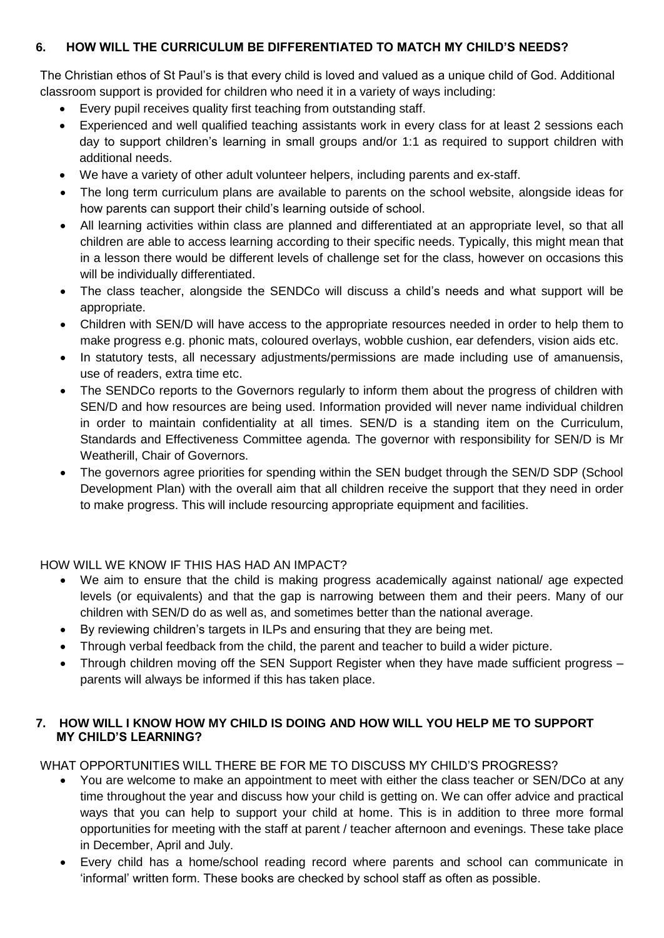## **6. HOW WILL THE CURRICULUM BE DIFFERENTIATED TO MATCH MY CHILD'S NEEDS?**

The Christian ethos of St Paul's is that every child is loved and valued as a unique child of God. Additional classroom support is provided for children who need it in a variety of ways including:

- Every pupil receives quality first teaching from outstanding staff.
- Experienced and well qualified teaching assistants work in every class for at least 2 sessions each day to support children's learning in small groups and/or 1:1 as required to support children with additional needs.
- We have a variety of other adult volunteer helpers, including parents and ex-staff.
- The long term curriculum plans are available to parents on the school website, alongside ideas for how parents can support their child's learning outside of school.
- All learning activities within class are planned and differentiated at an appropriate level, so that all children are able to access learning according to their specific needs. Typically, this might mean that in a lesson there would be different levels of challenge set for the class, however on occasions this will be individually differentiated.
- The class teacher, alongside the SENDCo will discuss a child's needs and what support will be appropriate.
- Children with SEN/D will have access to the appropriate resources needed in order to help them to make progress e.g. phonic mats, coloured overlays, wobble cushion, ear defenders, vision aids etc.
- In statutory tests, all necessary adjustments/permissions are made including use of amanuensis, use of readers, extra time etc.
- The SENDCo reports to the Governors regularly to inform them about the progress of children with SEN/D and how resources are being used. Information provided will never name individual children in order to maintain confidentiality at all times. SEN/D is a standing item on the Curriculum, Standards and Effectiveness Committee agenda. The governor with responsibility for SEN/D is Mr Weatherill, Chair of Governors.
- The governors agree priorities for spending within the SEN budget through the SEN/D SDP (School Development Plan) with the overall aim that all children receive the support that they need in order to make progress. This will include resourcing appropriate equipment and facilities.

HOW WILL WE KNOW IF THIS HAS HAD AN IMPACT?

- We aim to ensure that the child is making progress academically against national/ age expected levels (or equivalents) and that the gap is narrowing between them and their peers. Many of our children with SEN/D do as well as, and sometimes better than the national average.
- By reviewing children's targets in ILPs and ensuring that they are being met.
- Through verbal feedback from the child, the parent and teacher to build a wider picture.
- Through children moving off the SEN Support Register when they have made sufficient progress parents will always be informed if this has taken place.

## **7. HOW WILL I KNOW HOW MY CHILD IS DOING AND HOW WILL YOU HELP ME TO SUPPORT MY CHILD'S LEARNING?**

WHAT OPPORTUNITIES WILL THERE BE FOR ME TO DISCUSS MY CHILD'S PROGRESS?

- You are welcome to make an appointment to meet with either the class teacher or SEN/DCo at any time throughout the year and discuss how your child is getting on. We can offer advice and practical ways that you can help to support your child at home. This is in addition to three more formal opportunities for meeting with the staff at parent / teacher afternoon and evenings. These take place in December, April and July.
- Every child has a home/school reading record where parents and school can communicate in 'informal' written form. These books are checked by school staff as often as possible.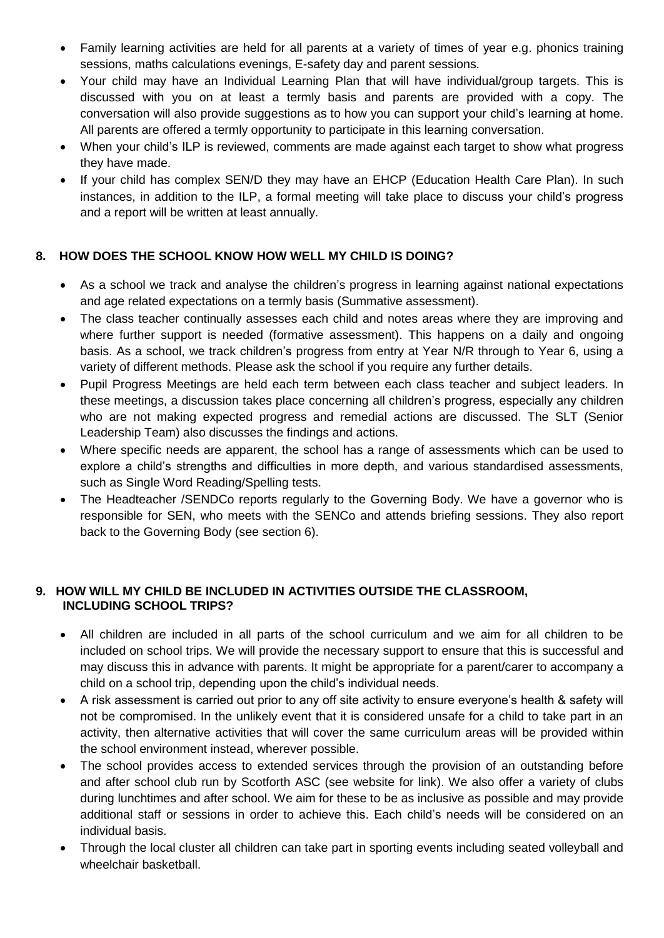- Family learning activities are held for all parents at a variety of times of year e.g. phonics training sessions, maths calculations evenings, E-safety day and parent sessions.
- Your child may have an Individual Learning Plan that will have individual/group targets. This is discussed with you on at least a termly basis and parents are provided with a copy. The conversation will also provide suggestions as to how you can support your child's learning at home. All parents are offered a termly opportunity to participate in this learning conversation.
- When your child's ILP is reviewed, comments are made against each target to show what progress they have made.
- If your child has complex SEN/D they may have an EHCP (Education Health Care Plan). In such instances, in addition to the ILP, a formal meeting will take place to discuss your child's progress and a report will be written at least annually.

## **8. HOW DOES THE SCHOOL KNOW HOW WELL MY CHILD IS DOING?**

- As a school we track and analyse the children's progress in learning against national expectations and age related expectations on a termly basis (Summative assessment).
- The class teacher continually assesses each child and notes areas where they are improving and where further support is needed (formative assessment). This happens on a daily and ongoing basis. As a school, we track children's progress from entry at Year N/R through to Year 6, using a variety of different methods. Please ask the school if you require any further details.
- Pupil Progress Meetings are held each term between each class teacher and subject leaders. In these meetings, a discussion takes place concerning all children's progress, especially any children who are not making expected progress and remedial actions are discussed. The SLT (Senior Leadership Team) also discusses the findings and actions.
- Where specific needs are apparent, the school has a range of assessments which can be used to explore a child's strengths and difficulties in more depth, and various standardised assessments, such as Single Word Reading/Spelling tests.
- The Headteacher /SENDCo reports regularly to the Governing Body. We have a governor who is responsible for SEN, who meets with the SENCo and attends briefing sessions. They also report back to the Governing Body (see section 6).

### **9. HOW WILL MY CHILD BE INCLUDED IN ACTIVITIES OUTSIDE THE CLASSROOM, INCLUDING SCHOOL TRIPS?**

- All children are included in all parts of the school curriculum and we aim for all children to be included on school trips. We will provide the necessary support to ensure that this is successful and may discuss this in advance with parents. It might be appropriate for a parent/carer to accompany a child on a school trip, depending upon the child's individual needs.
- A risk assessment is carried out prior to any off site activity to ensure everyone's health & safety will not be compromised. In the unlikely event that it is considered unsafe for a child to take part in an activity, then alternative activities that will cover the same curriculum areas will be provided within the school environment instead, wherever possible.
- The school provides access to extended services through the provision of an outstanding before and after school club run by Scotforth ASC (see website for link). We also offer a variety of clubs during lunchtimes and after school. We aim for these to be as inclusive as possible and may provide additional staff or sessions in order to achieve this. Each child's needs will be considered on an individual basis.
- Through the local cluster all children can take part in sporting events including seated volleyball and wheelchair basketball.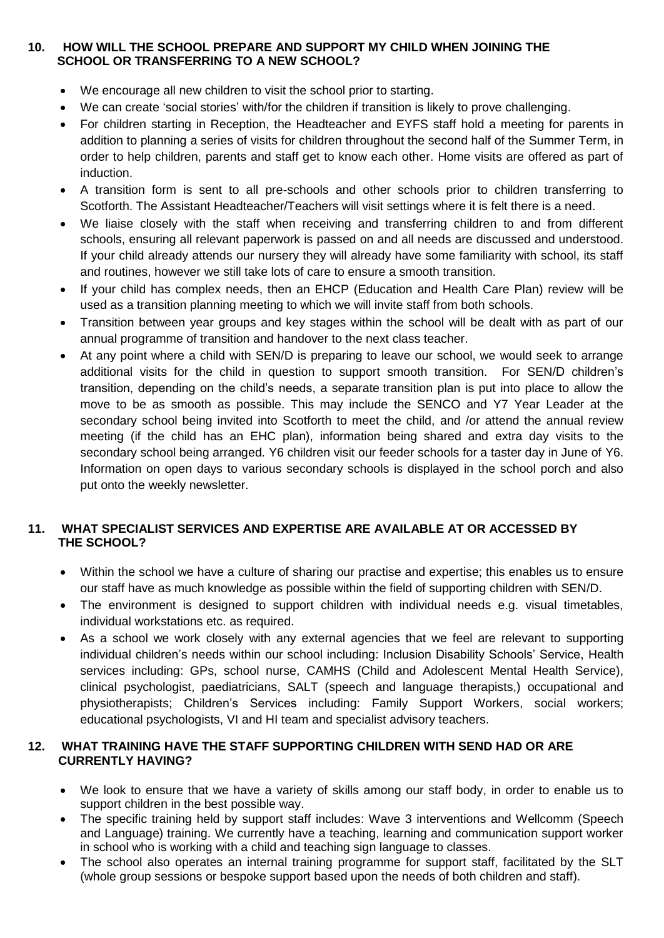#### **10. HOW WILL THE SCHOOL PREPARE AND SUPPORT MY CHILD WHEN JOINING THE SCHOOL OR TRANSFERRING TO A NEW SCHOOL?**

- We encourage all new children to visit the school prior to starting.
- We can create 'social stories' with/for the children if transition is likely to prove challenging.
- For children starting in Reception, the Headteacher and EYFS staff hold a meeting for parents in addition to planning a series of visits for children throughout the second half of the Summer Term, in order to help children, parents and staff get to know each other. Home visits are offered as part of induction.
- A transition form is sent to all pre-schools and other schools prior to children transferring to Scotforth. The Assistant Headteacher/Teachers will visit settings where it is felt there is a need.
- We liaise closely with the staff when receiving and transferring children to and from different schools, ensuring all relevant paperwork is passed on and all needs are discussed and understood. If your child already attends our nursery they will already have some familiarity with school, its staff and routines, however we still take lots of care to ensure a smooth transition.
- If your child has complex needs, then an EHCP (Education and Health Care Plan) review will be used as a transition planning meeting to which we will invite staff from both schools.
- Transition between year groups and key stages within the school will be dealt with as part of our annual programme of transition and handover to the next class teacher.
- At any point where a child with SEN/D is preparing to leave our school, we would seek to arrange additional visits for the child in question to support smooth transition. For SEN/D children's transition, depending on the child's needs, a separate transition plan is put into place to allow the move to be as smooth as possible. This may include the SENCO and Y7 Year Leader at the secondary school being invited into Scotforth to meet the child, and /or attend the annual review meeting (if the child has an EHC plan), information being shared and extra day visits to the secondary school being arranged. Y6 children visit our feeder schools for a taster day in June of Y6. Information on open days to various secondary schools is displayed in the school porch and also put onto the weekly newsletter.

### **11. WHAT SPECIALIST SERVICES AND EXPERTISE ARE AVAILABLE AT OR ACCESSED BY THE SCHOOL?**

- Within the school we have a culture of sharing our practise and expertise; this enables us to ensure our staff have as much knowledge as possible within the field of supporting children with SEN/D.
- The environment is designed to support children with individual needs e.g. visual timetables, individual workstations etc. as required.
- As a school we work closely with any external agencies that we feel are relevant to supporting individual children's needs within our school including: Inclusion Disability Schools' Service, Health services including: GPs, school nurse, CAMHS (Child and Adolescent Mental Health Service), clinical psychologist, paediatricians, SALT (speech and language therapists,) occupational and physiotherapists; Children's Services including: Family Support Workers, social workers; educational psychologists, VI and HI team and specialist advisory teachers.

### **12. WHAT TRAINING HAVE THE STAFF SUPPORTING CHILDREN WITH SEND HAD OR ARE CURRENTLY HAVING?**

- We look to ensure that we have a variety of skills among our staff body, in order to enable us to support children in the best possible way.
- The specific training held by support staff includes: Wave 3 interventions and Wellcomm (Speech and Language) training. We currently have a teaching, learning and communication support worker in school who is working with a child and teaching sign language to classes.
- The school also operates an internal training programme for support staff, facilitated by the SLT (whole group sessions or bespoke support based upon the needs of both children and staff).